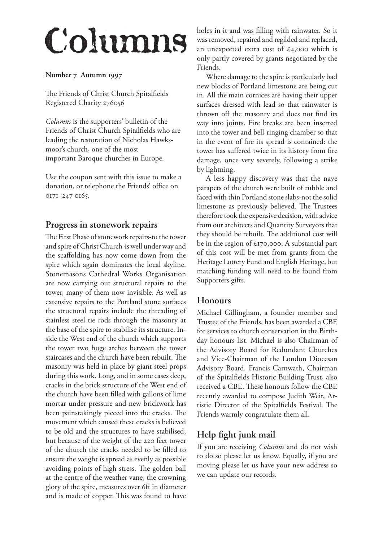# Columns

#### Number 7 Autumn 1997

The Friends of Christ Church Spitalfields Registered Charity 276056

*Columns* is the supporters' bulletin of the Friends of Christ Church Spitalfields who are leading the restoration of Nicholas Hawksmoor's church, one of the most important Baroque churches in Europe.

Use the coupon sent with this issue to make a donation, or telephone the Friends' office on 0171-247 0165.

# **Progress in stonework repairs**

The First Phase of stonework repairs-to the tower and spire of Christ Church-is well under way and the scaffolding has now come down from the spire which again dominates the local skyline. Stonemasons Cathedral Works Organisation are now carrying out structural repairs to the tower, many of them now invisible. As well as extensive repairs to the Portland stone surfaces the structural repairs include the threading of stainless steel tie rods through the masonry at the base of the spire to stabilise its structure. Inside the West end of the church which supports the tower two huge arches between the tower staircases and the church have been rebuilt. The masonry was held in place by giant steel props during this work. Long, and in some cases deep, cracks in the brick structure of the West end of the church have been filled with gallons of lime mortar under pressure and new brickwork has been painstakingly pieced into the cracks. The movement which caused these cracks is believed to be old and the structures to have stabilised; but because of the weight of the 220 feet tower of the church the cracks needed to be filled to ensure the weight is spread as evenly as possible avoiding points of high stress. The golden ball at the centre of the weather vane, the crowning glory of the spire, measures over 6ft in diameter and is made of copper. This was found to have

holes in it and was filling with rainwater. So it was removed, repaired and regilded and replaced, an unexpected extra cost of £4,000 which is only partly covered by grants negotiated by the Friends.

Where damage to the spire is particularly bad new blocks of Portland limestone are being cut in. All the main cornices are having their upper surfaces dressed with lead so that rainwater is thrown off the masonry and does not find its way into joints. Fire breaks are been inserted into the tower and bell-ringing chamber so that in the event of fire its spread is contained: the tower has suffered twice in its history from fire damage, once very severely, following a strike by lightning.

A less happy discovery was that the nave parapets of the church were built of rubble and faced with thin Portland stone slabs-not the solid limestone as previously believed. The Trustees therefore took the expensive decision, with advice from our architects and Quantity Surveyors that they should be rebuilt. The additional cost will be in the region of £70,000. A substantial part of this cost will be met from grants from the Heritage Lottery Fund and English Heritage, but matching funding will need to be found from Supporters gifts.

# **Honours**

Michael Gillingham, a founder member and Trustee of the Friends, has been awarded a CBE for services to church conservation in the Birthday honours list. Michael is also Chairman of the Advisory Board for Redundant Churches and Vice-Chairman of the London Diocesan Advisory Board. Francis Carnwath, Chairman of the Spitalfields Historic Building Trust, also received a CBE. These honours follow the CBE recently awarded to compose Judith Weir, Artistic Director of the Spitalfields Festival. The Friends warmly congratulate them all.

# **Help fight junk mail**

If you are receiving *Columns* and do not wish to do so please let us know. Equally, if you are moving please let us have your new address so we can update our records.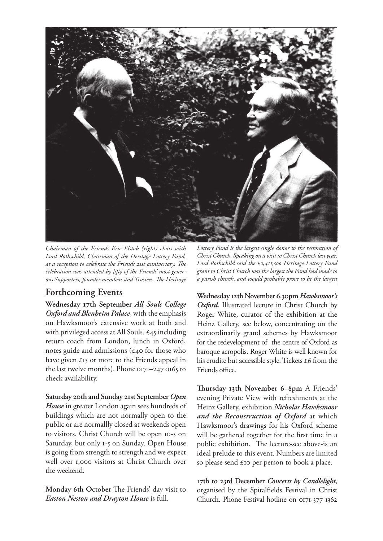

*Chairman of the Friends Eric Elstob (right) chats with Lord Rothschild, Chairman of the Heritage Lottery Fund, at a reception to celebrate the Friends 21st anniversary. The celebration was attended by fifty of the Friends' most generous Supporters, founder members and Trustees. The Heritage* 

### **Forthcoming Events**

**Wednesday 7th September** *All Souls College Oxford and Blenheim Palace*, with the emphasis on Hawksmoor's extensive work at both and with privileged access at All Souls. £45 including return coach from London, lunch in Oxford, notes guide and admissions ( $\epsilon$ 40 for those who have given £15 or more to the Friends appeal in the last twelve months). Phone  $017I-2470165$  to check availability.

**Saturday 20th and Sunday 2st September** *Open House* in greater London again sees hundreds of buildings which are not normally open to the public or are normallly closed at weekends open to visitors. Christ Church will be open 10-5 on Saturday, but only 1-5 on Sunday. Open House is going from strength to strength and we expect well over 1,000 visitors at Christ Church over the weekend.

**Monday 6th October** The Friends' day visit to *Easton Neston and Drayton House* is full.

*Lottery Fund is the largest single donor to the restoration of Christ Church. Speaking on a visit to Christ Church last year, Lord Rothschild said the £2,411,500 Heritage Lottery Fund grant to Christ Church was the largest the Fund had made to a parish church, and would probably prove to be the largest* 

**Wednesday 2th November 6.30pm** *Hawksmoor's Oxford***.** Illustrated lecture in Christ Church by Roger White, curator of the exhibition at the Heinz Gallery, see below, concentrating on the extraordinarily grand schemes by Hawksmoor for the redevelopment of the centre of Oxford as baroque acropolis. Roger White is well known for his erudite but accessible style. Tickets £6 from the Friends office.

Thursday 13th November 6–8pm A Friends' evening Private View with refreshments at the Heinz Gallery, exhibition *Nicholas Hawksmoor and the Reconstruction of Oxford* at which Hawksmoor's drawings for his Oxford scheme will be gathered together for the first time in a public exhibition. The lecture-see above-is an ideal prelude to this event. Numbers are limited so please send £10 per person to book a place.

**7th to 23rd December** *Concerts by Candlelight*, organised by the Spitalfields Festival in Christ Church. Phone Festival hotline on 0171-377 1362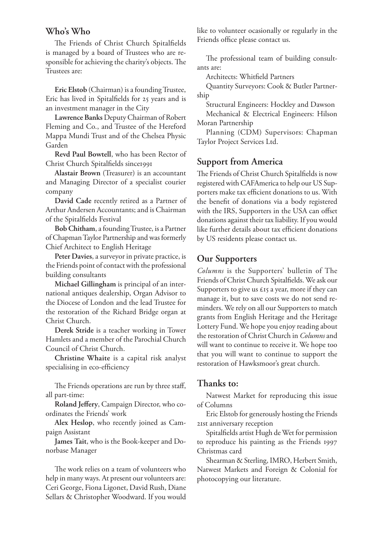#### **Who's Who**

The Friends of Christ Church Spitalfields is managed by a board of Trustees who are responsible for achieving the charity's objects. The Trustees are:

**Eric Elstob** (Chairman) is a founding Trustee, Eric has lived in Spitalfields for 25 years and is an investment manager in the City

**Lawrence Banks** Deputy Chairman of Robert Fleming and Co., and Trustee of the Hereford Mappa Mundi Trust and of the Chelsea Physic Garden

**Revd Paul Bowtell**, who has been Rector of Christ Church Spitalfields since1991

**Alastair Brown** (Treasurer) is an accountant and Managing Director of a specialist courier company

**David Cade** recently retired as a Partner of Arthur Andersen Accountants; and is Chairman of the Spitalfields Festival

**Bob Chitham**, a founding Trustee, is a Partner of Chapman Taylor Partnership and was formerly Chief Architect to English Heritage

**Peter Davies**, a surveyor in private practice, is the Friends point of contact with the professional building consultants

**Michael Gillingham** is principal of an international antiques dealership, Organ Advisor to the Diocese of London and the lead Trustee for the restoration of the Richard Bridge organ at Christ Church.

**Derek Stride** is a teacher working in Tower Hamlets and a member of the Parochial Church Council of Christ Church.

**Christine Whaite** is a capital risk analyst specialising in eco-efficiency

The Friends operations are run by three staff, all part-time:

**Roland Jeffery**, Campaign Director, who coordinates the Friends' work

**Alex Heslop**, who recently joined as Campaign Assistant

**James Tait**, who is the Book-keeper and Donorbase Manager

The work relies on a team of volunteers who help in many ways. At present our volunteers are: Ceri George, Fiona Ligonet, David Rush, Diane Sellars & Christopher Woodward. If you would like to volunteer ocasionally or regularly in the Friends office please contact us.

The professional team of building consultants are:

Architects: Whitfield Partners

Quantity Surveyors: Cook & Butler Partnership

Structural Engineers: Hockley and Dawson

Mechanical & Electrical Engineers: Hilson Moran Partnership

Planning (CDM) Supervisors: Chapman Taylor Project Services Ltd.

#### **Support from America**

The Friends of Christ Church Spitalfields is now registered with CAFAmerica to help our US Supporters make tax efficient donations to us. With the benefit of donations via a body registered with the IRS, Supporters in the USA can offset donations against their tax liability. If you would like further details about tax efficient donations by US residents please contact us.

#### **Our Supporters**

*Columns* is the Supporters' bulletin of The Friends of Christ Church Spitalfields. We ask our Supporters to give us £15 a year, more if they can manage it, but to save costs we do not send reminders. We rely on all our Supporters to match grants from English Heritage and the Heritage Lottery Fund. We hope you enjoy reading about the restoration of Christ Church in *Columns* and will want to continue to receive it. We hope too that you will want to continue to support the restoration of Hawksmoor's great church.

#### **Thanks to:**

Natwest Market for reproducing this issue of Columns

Eric Elstob for generously hosting the Friends 21st anniversary reception

Spitalfields artist Hugh de Wet for permission to reproduce his painting as the Friends 1997 Christmas card

Shearman & Sterling, IMRO, Herbert Smith, Natwest Markets and Foreign & Colonial for photocopying our literature.